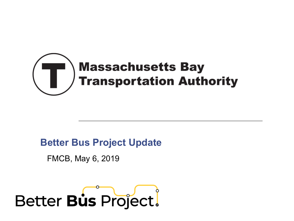

#### **Better Bus Project Update**

FMCB, May 6, 2019

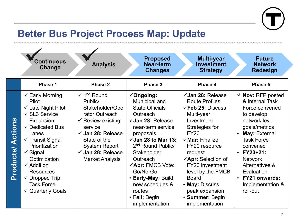

## **Better Bus Project Process Map: Update**

|                             | <b>Continuous</b><br><b>Change</b>                                                                                                                                                                                                                                                                                                                                                 | <b>Analysis</b>                                                                                                                                                                                                                                                 | <b>Proposed</b><br><b>Near-term</b><br><b>Changes</b>                                                                                                                                                                                                                                                                                                                  | <b>Multi-year</b><br><b>Investment</b><br><b>Strategy</b>                                                                                                                                                                                                                                                                                                                       | <b>Future</b><br><b>Network</b><br><b>Redesign</b>                                                                                                                                                                                                                                                      |
|-----------------------------|------------------------------------------------------------------------------------------------------------------------------------------------------------------------------------------------------------------------------------------------------------------------------------------------------------------------------------------------------------------------------------|-----------------------------------------------------------------------------------------------------------------------------------------------------------------------------------------------------------------------------------------------------------------|------------------------------------------------------------------------------------------------------------------------------------------------------------------------------------------------------------------------------------------------------------------------------------------------------------------------------------------------------------------------|---------------------------------------------------------------------------------------------------------------------------------------------------------------------------------------------------------------------------------------------------------------------------------------------------------------------------------------------------------------------------------|---------------------------------------------------------------------------------------------------------------------------------------------------------------------------------------------------------------------------------------------------------------------------------------------------------|
|                             | Phase 1                                                                                                                                                                                                                                                                                                                                                                            | Phase 2                                                                                                                                                                                                                                                         | Phase 3                                                                                                                                                                                                                                                                                                                                                                | Phase 4                                                                                                                                                                                                                                                                                                                                                                         | Phase 5                                                                                                                                                                                                                                                                                                 |
| Actions<br><b>Products/</b> | $\checkmark$ Early Morning<br><b>Pilot</b><br>$\checkmark$ Late Night Pilot<br>$\checkmark$ SL3 Service<br>Expansion<br>$\checkmark$ Dedicated Bus<br>Lanes<br>$\checkmark$ Transit Signal<br>Prioritization<br>$\checkmark$ Signal<br>Optimization<br>$\checkmark$ Addition<br><b>Resources</b><br>$\checkmark$ Dropped Trip<br><b>Task Force</b><br>$\checkmark$ Quarterly Goals | $\checkmark$ 1 <sup>nd</sup> Round<br>Public/<br>Stakeholder/Ope<br>rator Outreach<br>$\checkmark$ Review existing<br>service<br>$\checkmark$ Jan 28: Release<br>State of the<br><b>System Report</b><br>$\checkmark$ Jan 28: Release<br><b>Market Analysis</b> | $\checkmark$ Ongoing:<br>Municipal and<br><b>State Officials</b><br>Outreach<br>$\checkmark$ Jan 28: Release<br>near-term service<br>proposals<br>$\sqrt{3}$ Jan 28 to Mar 13:<br>2 <sup>nd</sup> Round Public/<br>Stakeholder<br>Outreach<br>√Apr: FMCB Vote:<br>Go/No-Go<br>· Early-May: Build<br>new schedules &<br>routes<br>$\cdot$ Fall: Begin<br>implementation | $\checkmark$ Jan 28: Release<br><b>Route Profiles</b><br>$\checkmark$ Feb 25: Discuss<br>Multi-year<br>Investment<br>Strategies for<br><b>FY20</b><br>$\checkmark$ Mar: Finalize<br>FY20 resource<br>request<br>$\checkmark$ Apr: Selection of<br>FY20 investment<br>level by the FMCB<br><b>Board</b><br>• May: Discuss<br>peak expansion<br>· Summer: Begin<br>implementation | $\sqrt{ }$ Nov: RFP posted<br>& Internal Task<br>Force convened<br>to develop<br>network level<br>goals/metrics<br>May: External<br>$\bullet$<br><b>Task Force</b><br>convened<br>$\cdot$ FY20+21:<br><b>Network</b><br>Alternatives &<br>Evaluation<br>• FY21 onwards:<br>Implementation &<br>roll-out |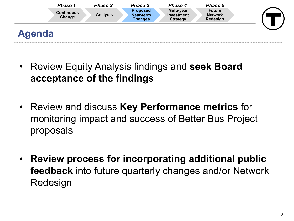

- Review Equity Analysis findings and **seek Board acceptance of the findings**
- Review and discuss **Key Performance metrics** for monitoring impact and success of Better Bus Project proposals
- **Review process for incorporating additional public feedback** into future quarterly changes and/or Network Redesign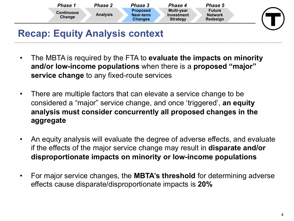

## **Recap: Equity Analysis context**

- The MBTA is required by the FTA to **evaluate the impacts on minority and/or low-income populations** when there is a **proposed "major" service change** to any fixed-route services
- There are multiple factors that can elevate a service change to be considered a "major" service change, and once 'triggered', **an equity analysis must consider concurrently all proposed changes in the aggregate**
- An equity analysis will evaluate the degree of adverse effects, and evaluate if the effects of the major service change may result in **disparate and/or disproportionate impacts on minority or low-income populations**
- For major service changes, the **MBTA's threshold** for determining adverse effects cause disparate/disproportionate impacts is **20%**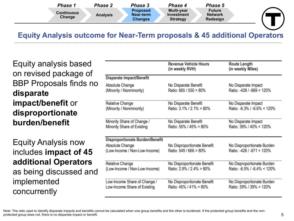| Phase                       | <b>Phase 2</b>  | Phase 3                                        | Phase 4                                            | Phase 5                              |  |
|-----------------------------|-----------------|------------------------------------------------|----------------------------------------------------|--------------------------------------|--|
| <b>Continuous</b><br>Change | <b>Analysis</b> | <b>Proposed</b><br>Near-term<br><b>Changes</b> | <b>Multi-year</b><br>Investment<br><b>Strategy</b> | Future<br><b>Network</b><br>Redesign |  |

#### **Equity Analysis outcome for Near-Term proposals & 45 additional Operators**

Equity analysis based on revised package of BBP Proposals finds no **disparate impact/benefit** or **disproportionate burden/benefit**

Equity Analysis now includes **impact of 45 additional Operators**  as being discussed and implemented concurrently

|                                                                                                   | <b>Revenue Vehicle Hours</b><br>(in weekly RVH)       | <b>Route Length</b><br>(in weekly Miles)                |
|---------------------------------------------------------------------------------------------------|-------------------------------------------------------|---------------------------------------------------------|
| <b>Disparate Impact/Benefit</b>                                                                   |                                                       |                                                         |
| <b>Absolute Change</b>                                                                            | No Disparate Benefit                                  | No Disparate Impact                                     |
| (Minority / Nonminority)                                                                          | Ratio: 665 / 550 > 80%                                | Ratio: -428 / -669 < 120%                               |
| <b>Relative Change</b>                                                                            | No Disparate Benefit                                  | No Disparate Impact                                     |
| (Minority / Nonminority)                                                                          | Ratio: 3.1% / 2.1% > 80%                              | Ratio: -6.3% / -6.6% < 120%                             |
| Minority Share of Change /                                                                        | No Disparate Benefit                                  | No Disparate Impact                                     |
| Minority Share of Existing                                                                        | Ratio: 55% / 45% > 80%                                | Ratio: 39% / 40% < 120%                                 |
| <b>Disproportionate Burden/Benefit</b><br><b>Absolute Change</b><br>(Low-Income / Non-Low-Income) | No Disproportionate Benefit<br>Ratio: 549 / 666 > 80% | No Disproportionate Burden<br>Ratio: -426 / -671 < 120% |
| <b>Relative Change</b>                                                                            | No Disproportionate Benefit                           | No Disproportionate Burden                              |
| (Low-Income / Non-Low-Income)                                                                     | Ratio: 2.9% / 2.4% > 80%                              | Ratio: -6.5% / -6.4% < 120%                             |
| Low-Income Share of Change /                                                                      | No Disproportionate Benefit                           | No Disproportionate Burden                              |
| Low-Income Share of Existing                                                                      | Ratio: 45% / 41% > 80%                                | Ratio: 39% / 39% < 120%                                 |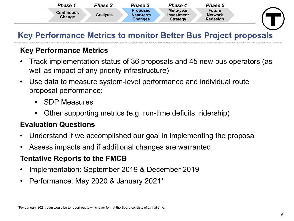

#### **Key Performance Metrics to monitor Better Bus Project proposals**

#### **Key Performance Metrics**

- Track implementation status of 36 proposals and 45 new bus operators (as well as impact of any priority infrastructure)
- Use data to measure system-level performance and individual route proposal performance:
	- SDP Measures
	- Other supporting metrics (e.g. run-time deficits, ridership)

#### **Evaluation Questions**

- Understand if we accomplished our goal in implementing the proposal
- Assess impacts and if additional changes are warranted

#### **Tentative Reports to the FMCB**

- Implementation: September 2019 & December 2019
- Performance: May 2020 & January 2021\*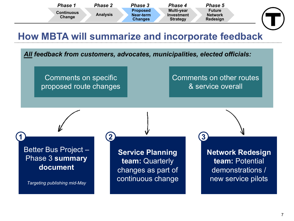

*All feedback from customers, advocates, municipalities, elected officials:*

Comments on specific proposed route changes

 $1$  **2 2 2 2 2 3 2** 

#### Comments on other routes & service overall

Better Bus Project – Phase 3 **summary document**

*Targeting publishing mid-May*

**Service Planning team:** Quarterly changes as part of continuous change **Network Redesign team:** Potential demonstrations / new service pilots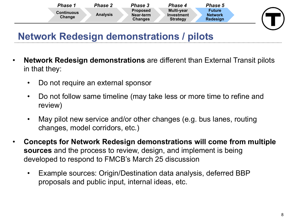

## **Network Redesign demonstrations / pilots**

- **Network Redesign demonstrations** are different than External Transit pilots in that they:
	- Do not require an external sponsor
	- Do not follow same timeline (may take less or more time to refine and review)
	- May pilot new service and/or other changes (e.g. bus lanes, routing changes, model corridors, etc.)
- **Concepts for Network Redesign demonstrations will come from multiple sources** and the process to review, design, and implement is being developed to respond to FMCB's March 25 discussion
	- Example sources: Origin/Destination data analysis, deferred BBP proposals and public input, internal ideas, etc.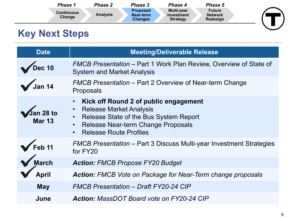| Phase 1                     | Phase 2         | Phase 3                                        | Phase 4                                            | Phase 5                                     |  |
|-----------------------------|-----------------|------------------------------------------------|----------------------------------------------------|---------------------------------------------|--|
| <b>Continuous</b><br>Change | <b>Analysis</b> | <b>Proposed</b><br>Near-term<br><b>Changes</b> | <b>Multi-year</b><br>Investment<br><b>Strategy</b> | <b>Future</b><br><b>Network</b><br>Redesign |  |

# **Key Next Steps**

| <b>Date</b>                | <b>Meeting/Deliverable Release</b>                                                                                                                                                                                                                        |  |
|----------------------------|-----------------------------------------------------------------------------------------------------------------------------------------------------------------------------------------------------------------------------------------------------------|--|
| Dec 10                     | FMCB Presentation – Part 1 Work Plan Review, Overview of State of<br><b>System and Market Analysis</b>                                                                                                                                                    |  |
| <i>Jan 14</i>              | FMCB Presentation – Part 2 Overview of Near-term Change<br>Proposals                                                                                                                                                                                      |  |
| Jan 28 to<br><b>Mar 13</b> | Kick off Round 2 of public engagement<br>$\bullet$<br><b>Release Market Analysis</b><br>$\bullet$<br>Release State of the Bus System Report<br>$\bullet$<br>Release Near-term Change Proposals<br>$\bullet$<br><b>Release Route Profiles</b><br>$\bullet$ |  |
| Feb 11                     | <b>FMCB Presentation – Part 3 Discuss Multi-year Investment Strategies</b><br>for FY20                                                                                                                                                                    |  |
| March                      | <b>Action: FMCB Propose FY20 Budget</b>                                                                                                                                                                                                                   |  |
| <b>April</b>               | <b>Action:</b> FMCB Vote on Package for Near-Term change proposals                                                                                                                                                                                        |  |
| <b>May</b>                 | <b>FMCB Presentation - Draft FY20-24 CIP</b>                                                                                                                                                                                                              |  |
| June                       | <b>Action:</b> MassDOT Board vote on FY20-24 CIP                                                                                                                                                                                                          |  |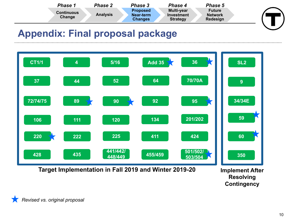

### **Appendix: Final proposal package**



**Resolving Contingency**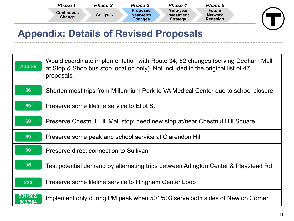| Phase 1                     | <b>Phase 2</b>  | <b>Phase 3</b>                                 | <b>Phase 4</b>                              | <b>Phase 5</b>                              |  |
|-----------------------------|-----------------|------------------------------------------------|---------------------------------------------|---------------------------------------------|--|
| <b>Continuous</b><br>Change | <b>Analysis</b> | <b>Proposed</b><br>Near-term<br><b>Changes</b> | Multi-year<br>Investment<br><b>Strategy</b> | <b>Future</b><br><b>Network</b><br>Redesign |  |

### **Appendix: Details of Revised Proposals**

| <b>Add 35</b>                    | Would coordinate implementation with Route 34, 52 changes (serving Dedham Mall<br>at Stop & Shop bus stop location only). Not included in the original list of 47<br>proposals. |
|----------------------------------|---------------------------------------------------------------------------------------------------------------------------------------------------------------------------------|
| 36                               | Shorten most trips from Millennium Park to VA Medical Center due to school closure                                                                                              |
| 59                               | Preserve some lifeline service to Eliot St                                                                                                                                      |
| 60                               | Preserve Chestnut Hill Mall stop; need new stop at/near Chestnut Hill Square                                                                                                    |
| 89                               | Preserve some peak and school service at Clarendon Hill                                                                                                                         |
| 90                               | Preserve direct connection to Sullivan                                                                                                                                          |
| 95                               | Test potential demand by alternating trips between Arlington Center & Playstead Rd.                                                                                             |
| 220                              | Preserve some lifeline service to Hingham Center Loop                                                                                                                           |
| $\overline{501/502/}$<br>503/504 | Implement only during PM peak when 501/503 serve both sides of Newton Corner                                                                                                    |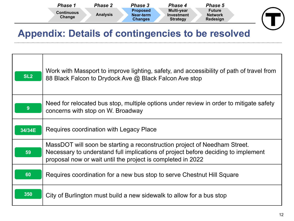| <b>Phase 1</b>              | <b>Phase 2</b>  | Phase 3                                 | Phase 4                                     | Phase 5                                     |  |
|-----------------------------|-----------------|-----------------------------------------|---------------------------------------------|---------------------------------------------|--|
| <b>Continuous</b><br>Change | <b>Analysis</b> | <b>Proposed</b><br>Near-term<br>Changes | Multi-year<br>Investment<br><b>Strategy</b> | <b>Future</b><br><b>Network</b><br>Redesign |  |

## **Appendix: Details of contingencies to be resolved**

| SL <sub>2</sub> | Work with Massport to improve lighting, safety, and accessibility of path of travel from<br>88 Black Falcon to Drydock Ave @ Black Falcon Ave stop                                                                            |
|-----------------|-------------------------------------------------------------------------------------------------------------------------------------------------------------------------------------------------------------------------------|
| 9               | Need for relocated bus stop, multiple options under review in order to mitigate safety<br>concerns with stop on W. Broadway                                                                                                   |
| 34/34E          | Requires coordination with Legacy Place                                                                                                                                                                                       |
| 59              | MassDOT will soon be starting a reconstruction project of Needham Street.<br>Necessary to understand full implications of project before deciding to implement<br>proposal now or wait until the project is completed in 2022 |
| 60              | Requires coordination for a new bus stop to serve Chestnut Hill Square                                                                                                                                                        |
| 350             | City of Burlington must build a new sidewalk to allow for a bus stop                                                                                                                                                          |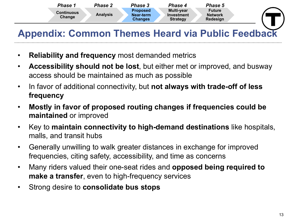

# **Appendix: Common Themes Heard via Public Feedback**

- **Reliability and frequency** most demanded metrics
- **Accessibility should not be lost**, but either met or improved, and busway access should be maintained as much as possible
- In favor of additional connectivity, but **not always with trade-off of less frequency**
- **Mostly in favor of proposed routing changes if frequencies could be maintained** or improved
- Key to **maintain connectivity to high-demand destinations** like hospitals, malls, and transit hubs
- Generally unwilling to walk greater distances in exchange for improved frequencies, citing safety, accessibility, and time as concerns
- Many riders valued their one-seat rides and **opposed being required to make a transfer**, even to high-frequency services
- Strong desire to **consolidate bus stops**